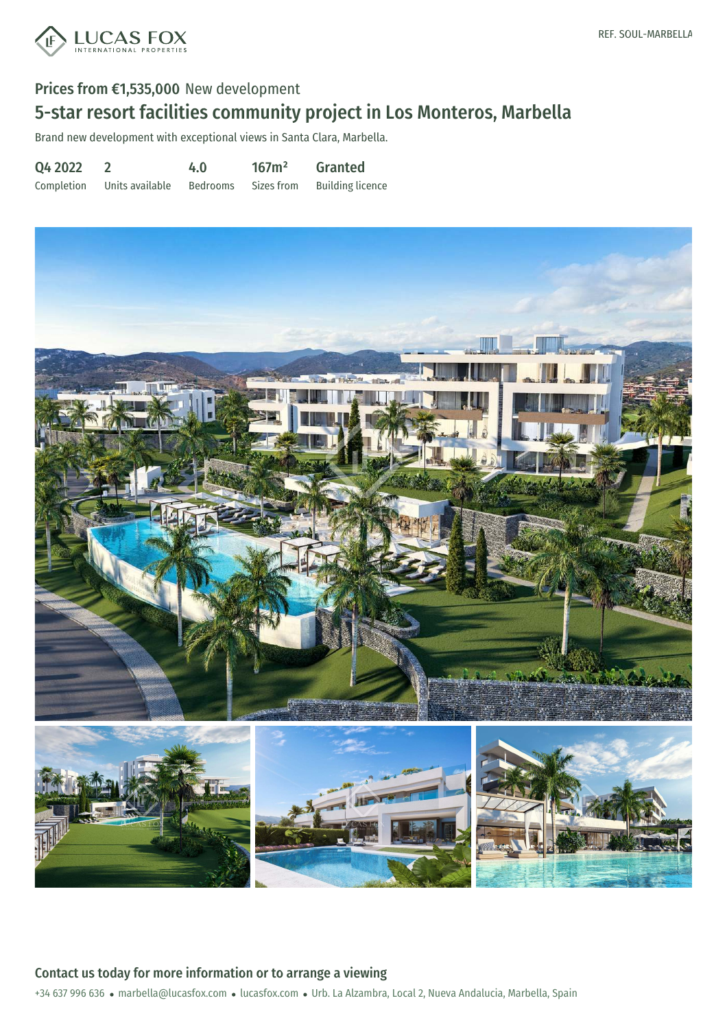

# 5-star resort facilities community project in Los Monteros, Marbella

Brand new development with exceptional views in Santa Clara, Marbella.

Q4 2022 Completion 2 Units available 4.0 Bedrooms 167m² Sizes from Granted Building licence



+34 637 996 636 · marbella@lucasfox.com · lucasfox.com · Urb. La Alzambra, Local 2, Nueva Andalucia, Marbella, Spain Contact us today for more information or to arrange a viewing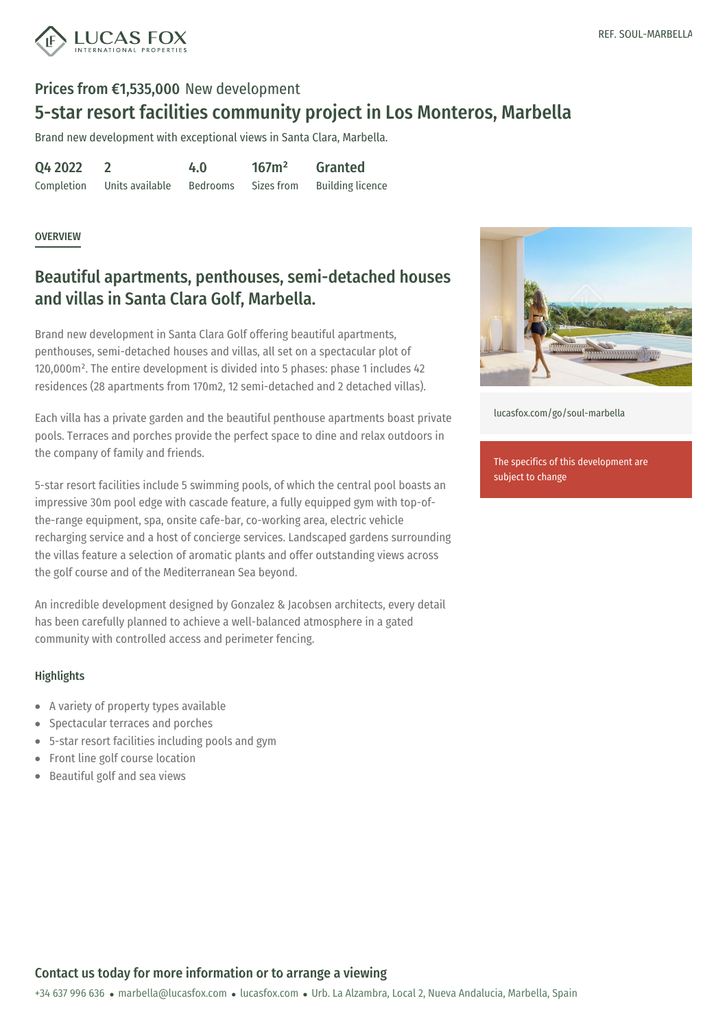

## 5-star resort facilities community project in Los Monteros, Marbella

Brand new development with exceptional views in Santa Clara, Marbella.

Q4 2022 Completion  $\mathfrak{p}$ Units available 4.0 Bedrooms 167m² Sizes from Granted Building licence

#### **OVERVIEW**

## Beautiful apartments, penthouses, semi-detached houses and villas in Santa Clara Golf, Marbella.

Brand new development in Santa Clara Golf offering beautiful apartments, penthouses, semi-detached houses and villas, all set on a spectacular plot of 120,000m². The entire development is divided into 5 phases: phase 1 includes 42 residences (28 apartments from 170m2, 12 semi-detached and 2 detached villas).

Each villa has a private garden and the beautiful penthouse apartments boast private pools. Terraces and porches provide the perfect space to dine and relax outdoors in the company of family and friends.

5-star resort facilities include 5 swimming pools, of which the central pool boasts an impressive 30m pool edge with cascade feature, a fully equipped gym with top-ofthe-range equipment, spa, onsite cafe-bar, co-working area, electric vehicle recharging service and a host of concierge services. Landscaped gardens surrounding the villas feature a selection of aromatic plants and offer outstanding views across the golf course and of the Mediterranean Sea beyond.

An incredible development designed by Gonzalez & Jacobsen architects, every detail has been carefully planned to achieve a well-balanced atmosphere in a gated community with controlled access and perimeter fencing.

#### **Highlights**

- A variety of property types available
- Spectacular terraces and porches
- 5-star resort facilities including pools and gym
- Front line golf course [location](mailto:marbella@lucasfox.com)
- Beautiful golf and sea views  $\bullet$



[lucasfox.com/go/soul-marbella](https://www.lucasfox.com/go/soul-marbella)

The specifics of this development are subject to change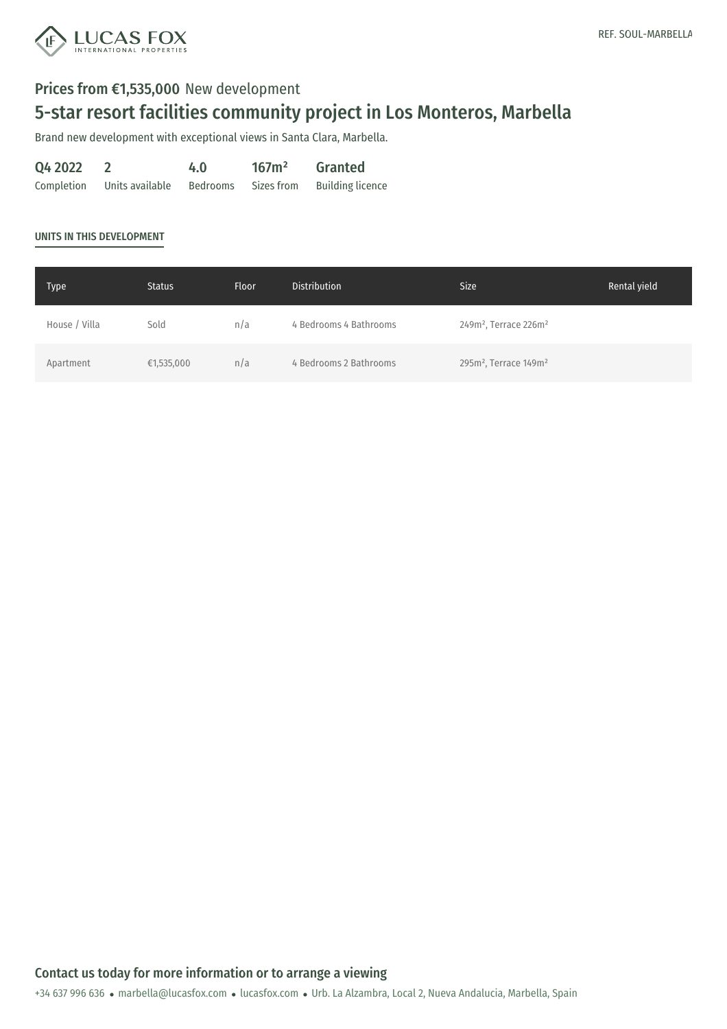

# 5-star resort facilities community project in Los Monteros, Marbella

Brand new development with exceptional views in Santa Clara, Marbella.

| Q4 2022    |                 | 4.0      | 167m <sup>2</sup> | <b>Granted</b>          |
|------------|-----------------|----------|-------------------|-------------------------|
| Completion | Units available | Bedrooms | Sizes from        | <b>Building licence</b> |

#### UNITS IN THIS DEVELOPMENT

| <b>Type</b>   | <b>Status</b> | <b>Floor</b> | <b>Distribution</b>    | <b>Size</b>                                   | Rental yield |
|---------------|---------------|--------------|------------------------|-----------------------------------------------|--------------|
| House / Villa | Sold          | n/a          | 4 Bedrooms 4 Bathrooms | 249m <sup>2</sup> , Terrace 226m <sup>2</sup> |              |
| Apartment     | €1,535,000    | n/a          | 4 Bedrooms 2 Bathrooms | 295m <sup>2</sup> , Terrace 149m <sup>2</sup> |              |